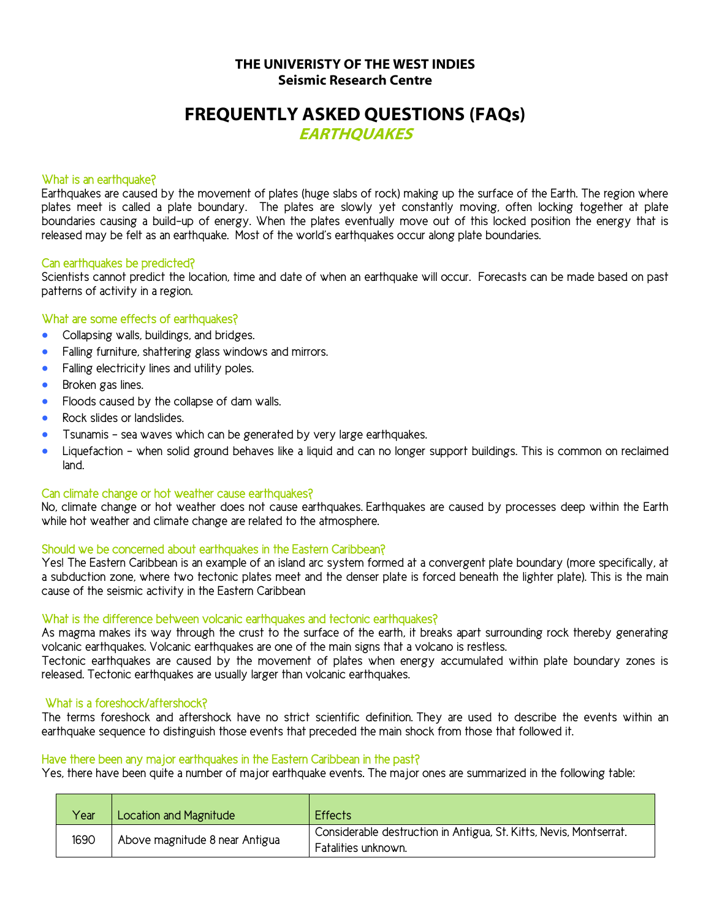# **THE UNIVERISTY OF THE WEST INDIES Seismic Research Centre**

# **FREQUENTLY ASKED QUESTIONS (FAQs)**

**EARTHQUAKES**

### What is an earthquake?

**Earthquakes are caused by the movement of plates (huge slabs of rock) making up the surface of the Earth. The region where plates meet is called a plate boundary. The plates are slowly yet constantly moving, often locking together at plate boundaries causing a build-up of energy. When the plates eventually move out of this locked position the energy that is released may be felt as an earthquake. Most of the world's earthquakes occur along plate boundaries.**

#### Can earthquakes be predicted?

**Scientists cannot predict the location, time and date of when an earthquake will occur. Forecasts can be made based on past patterns of activity in a region.**

## What are some effects of earthquakes?

- **Collapsing walls, buildings, and bridges.**
- **Falling furniture, shattering glass windows and mirrors.**
- **Falling electricity lines and utility poles.**
- **Broken gas lines.**
- **Floods caused by the collapse of dam walls.**
- **Rock slides or landslides.**
- **Tsunamis - sea waves which can be generated by very large earthquakes.**
- **Liquefaction - when solid ground behaves like a liquid and can no longer support buildings. This is common on reclaimed land.**

#### Can climate change or hot weather cause earthquakes?

**No, climate change or hot weather does not cause earthquakes. Earthquakes are caused by processes deep within the Earth while hot weather and climate change are related to the atmosphere.**

## Should we be concerned about earthquakes in the Eastern Caribbean?

**Yes! The Eastern Caribbean is an example of an island arc system formed at a convergent plate boundary (more specifically, at a subduction zone, where two tectonic plates meet and the denser plate is forced beneath the lighter plate). This is the main cause of the seismic activity in the Eastern Caribbean**

## What is the difference between volcanic earthquakes and tectonic earthquakes?

**As magma makes its way through the crust to the surface of the earth, it breaks apart surrounding rock thereby generating volcanic earthquakes. Volcanic earthquakes are one of the main signs that a volcano is restless.** 

**Tectonic earthquakes are caused by the movement of plates when energy accumulated within plate boundary zones is released. Tectonic earthquakes are usually larger than volcanic earthquakes.**

#### What is a foreshock/aftershock?

**The terms foreshock and aftershock have no strict scientific definition. They are used to describe the events within an earthquake sequence to distinguish those events that preceded the main shock from those that followed it.**

#### Have there been any major earthquakes in the Eastern Caribbean in the past?

**Yes, there have been quite a number of major earthquake events. The major ones are summarized in the following table:**

| Year | Location and Magnitude         | <b>Effects</b>                                                                            |
|------|--------------------------------|-------------------------------------------------------------------------------------------|
| 1690 | Above magnitude 8 near Antigua | Considerable destruction in Antigua, St. Kitts, Nevis, Montserrat.<br>Fatalities unknown. |